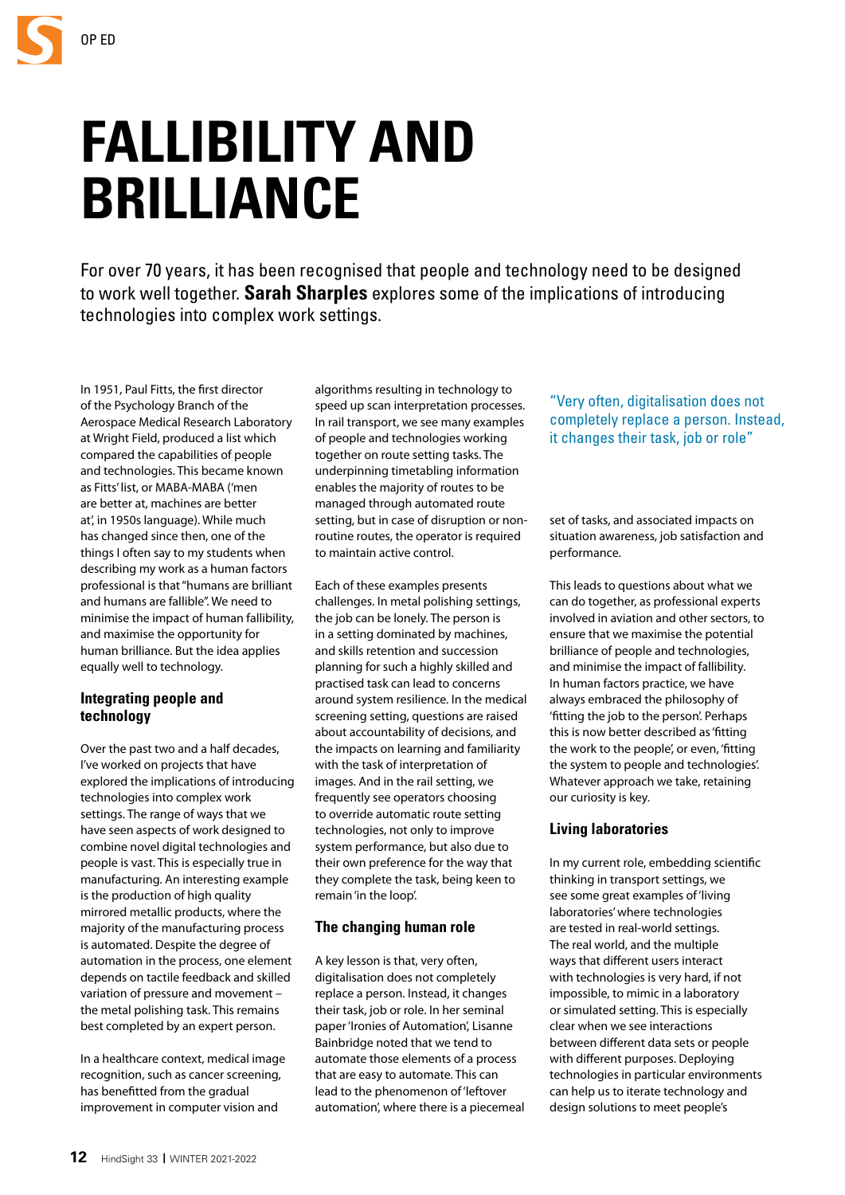# **FALLIBILITY AND BRILLIANCE**

For over 70 years, it has been recognised that people and technology need to be designed to work well together. **Sarah Sharples** explores some of the implications of introducing technologies into complex work settings.

In 1951, Paul Fitts, the first director of the Psychology Branch of the Aerospace Medical Research Laboratory at Wright Field, produced a list which compared the capabilities of people and technologies. This became known as Fitts' list, or MABA-MABA ('men are better at, machines are better at', in 1950s language). While much has changed since then, one of the things I often say to my students when describing my work as a human factors professional is that "humans are brilliant and humans are fallible". We need to minimise the impact of human fallibility, and maximise the opportunity for human brilliance. But the idea applies equally well to technology.

## **Integrating people and technology**

Over the past two and a half decades, I've worked on projects that have explored the implications of introducing technologies into complex work settings. The range of ways that we have seen aspects of work designed to combine novel digital technologies and people is vast. This is especially true in manufacturing. An interesting example is the production of high quality mirrored metallic products, where the majority of the manufacturing process is automated. Despite the degree of automation in the process, one element depends on tactile feedback and skilled variation of pressure and movement – the metal polishing task. This remains best completed by an expert person.

In a healthcare context, medical image recognition, such as cancer screening, has benefitted from the gradual improvement in computer vision and

algorithms resulting in technology to speed up scan interpretation processes. In rail transport, we see many examples of people and technologies working together on route setting tasks. The underpinning timetabling information enables the majority of routes to be managed through automated route setting, but in case of disruption or nonroutine routes, the operator is required to maintain active control.

Each of these examples presents challenges. In metal polishing settings, the job can be lonely. The person is in a setting dominated by machines, and skills retention and succession planning for such a highly skilled and practised task can lead to concerns around system resilience. In the medical screening setting, questions are raised about accountability of decisions, and the impacts on learning and familiarity with the task of interpretation of images. And in the rail setting, we frequently see operators choosing to override automatic route setting technologies, not only to improve system performance, but also due to their own preference for the way that they complete the task, being keen to remain 'in the loop'.

## **The changing human role**

A key lesson is that, very often, digitalisation does not completely replace a person. Instead, it changes their task, job or role. In her seminal paper 'Ironies of Automation', Lisanne Bainbridge noted that we tend to automate those elements of a process that are easy to automate. This can lead to the phenomenon of 'leftover automation', where there is a piecemeal

"Very often, digitalisation does not completely replace a person. Instead, it changes their task, job or role"

set of tasks, and associated impacts on situation awareness, job satisfaction and performance.

This leads to questions about what we can do together, as professional experts involved in aviation and other sectors, to ensure that we maximise the potential brilliance of people and technologies, and minimise the impact of fallibility. In human factors practice, we have always embraced the philosophy of 'fitting the job to the person'. Perhaps this is now better described as 'fitting the work to the people', or even, 'fitting the system to people and technologies'. Whatever approach we take, retaining our curiosity is key.

## **Living laboratories**

In my current role, embedding scientific thinking in transport settings, we see some great examples of 'living laboratories' where technologies are tested in real-world settings. The real world, and the multiple ways that different users interact with technologies is very hard, if not impossible, to mimic in a laboratory or simulated setting. This is especially clear when we see interactions between different data sets or people with different purposes. Deploying technologies in particular environments can help us to iterate technology and design solutions to meet people's